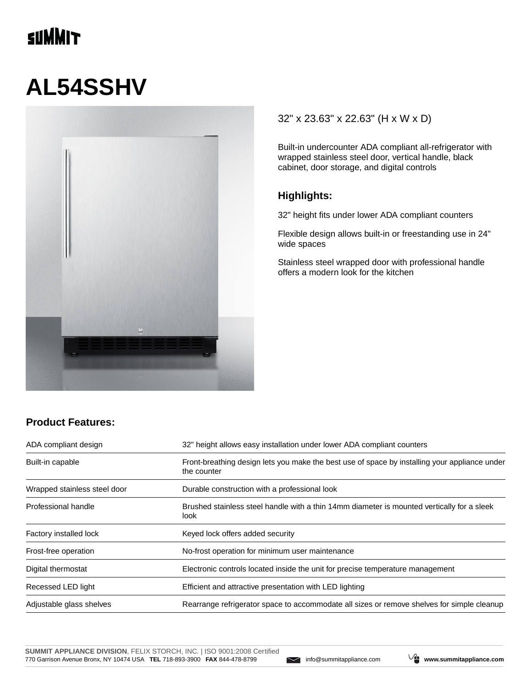## **TINNIT**

# **AL54SSHV**



#### 32" x 23.63" x 22.63" (H x W x D)

Built-in undercounter ADA compliant all-refrigerator with wrapped stainless steel door, vertical handle, black cabinet, door storage, and digital controls

#### **Highlights:**

32" height fits under lower ADA compliant counters

Flexible design allows built-in or freestanding use in 24" wide spaces

Stainless steel wrapped door with professional handle offers a modern look for the kitchen

#### **Product Features:**

| ADA compliant design         | 32" height allows easy installation under lower ADA compliant counters<br>Front-breathing design lets you make the best use of space by installing your appliance under<br>the counter |  |
|------------------------------|----------------------------------------------------------------------------------------------------------------------------------------------------------------------------------------|--|
| Built-in capable             |                                                                                                                                                                                        |  |
| Wrapped stainless steel door | Durable construction with a professional look                                                                                                                                          |  |
| Professional handle          | Brushed stainless steel handle with a thin 14mm diameter is mounted vertically for a sleek<br>look.                                                                                    |  |
| Factory installed lock       | Keyed lock offers added security                                                                                                                                                       |  |
| Frost-free operation         | No-frost operation for minimum user maintenance                                                                                                                                        |  |
| Digital thermostat           | Electronic controls located inside the unit for precise temperature management                                                                                                         |  |
| Recessed LED light           | Efficient and attractive presentation with LED lighting                                                                                                                                |  |
| Adjustable glass shelves     | Rearrange refrigerator space to accommodate all sizes or remove shelves for simple cleanup                                                                                             |  |